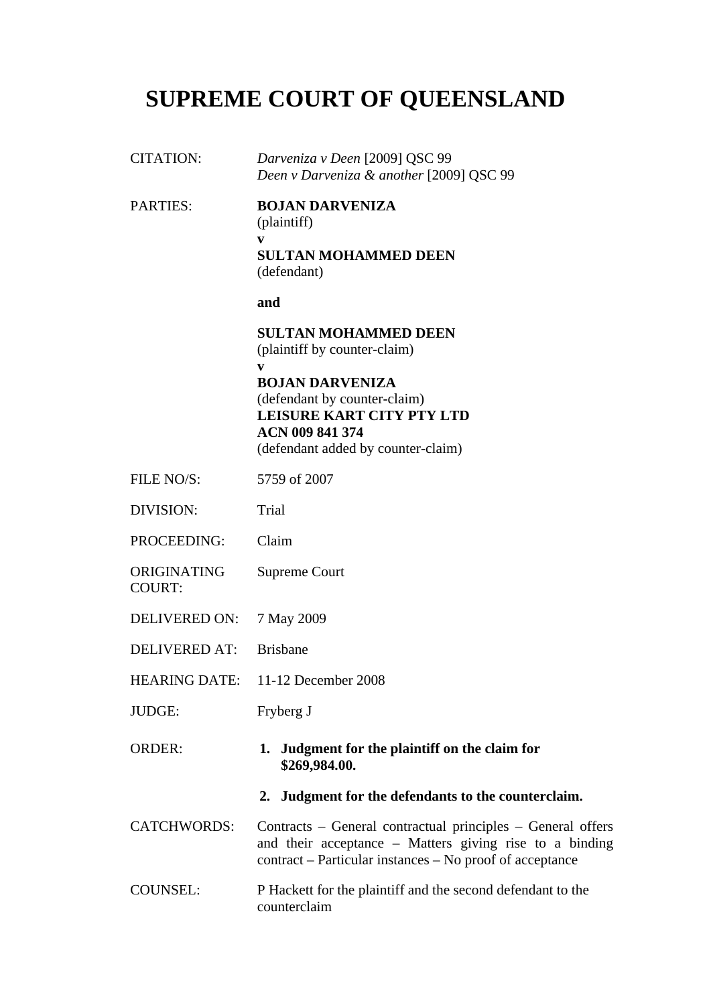# **SUPREME COURT OF QUEENSLAND**

| <b>CITATION:</b>             | Darveniza v Deen [2009] QSC 99<br>Deen v Darveniza & another [2009] QSC 99                                                                                                         |
|------------------------------|------------------------------------------------------------------------------------------------------------------------------------------------------------------------------------|
| <b>PARTIES:</b>              | <b>BOJAN DARVENIZA</b><br>(plaintiff)<br>V<br><b>SULTAN MOHAMMED DEEN</b>                                                                                                          |
|                              | (defendant)                                                                                                                                                                        |
|                              | and                                                                                                                                                                                |
|                              | <b>SULTAN MOHAMMED DEEN</b><br>(plaintiff by counter-claim)                                                                                                                        |
|                              | V<br><b>BOJAN DARVENIZA</b><br>(defendant by counter-claim)<br><b>LEISURE KART CITY PTY LTD</b><br><b>ACN 009 841 374</b><br>(defendant added by counter-claim)                    |
| FILE NO/S:                   | 5759 of 2007                                                                                                                                                                       |
| <b>DIVISION:</b>             | Trial                                                                                                                                                                              |
| PROCEEDING:                  | Claim                                                                                                                                                                              |
| ORIGINATING<br><b>COURT:</b> | Supreme Court                                                                                                                                                                      |
| <b>DELIVERED ON:</b>         | 7 May 2009                                                                                                                                                                         |
| <b>DELIVERED AT:</b>         | <b>Brisbane</b>                                                                                                                                                                    |
|                              | HEARING DATE: 11-12 December 2008                                                                                                                                                  |
| JUDGE:                       | Fryberg J                                                                                                                                                                          |
| <b>ORDER:</b>                | 1. Judgment for the plaintiff on the claim for<br>\$269,984.00.                                                                                                                    |
|                              | 2. Judgment for the defendants to the counterclaim.                                                                                                                                |
| <b>CATCHWORDS:</b>           | Contracts – General contractual principles – General offers<br>and their acceptance – Matters giving rise to a binding<br>contract – Particular instances – No proof of acceptance |
| <b>COUNSEL:</b>              | P Hackett for the plaintiff and the second defendant to the<br>counterclaim                                                                                                        |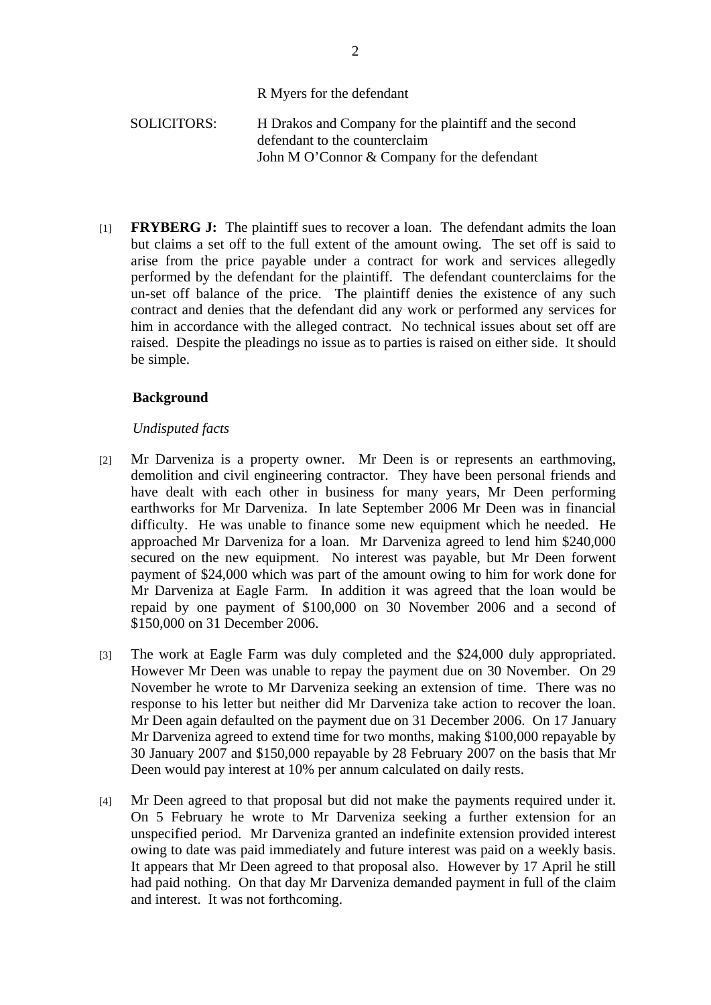## R Myers for the defendant

# SOLICITORS: H Drakos and Company for the plaintiff and the second defendant to the counterclaim John M O'Connor & Company for the defendant

[1] **FRYBERG J:** The plaintiff sues to recover a loan. The defendant admits the loan but claims a set off to the full extent of the amount owing. The set off is said to arise from the price payable under a contract for work and services allegedly performed by the defendant for the plaintiff. The defendant counterclaims for the un-set off balance of the price. The plaintiff denies the existence of any such contract and denies that the defendant did any work or performed any services for him in accordance with the alleged contract. No technical issues about set off are raised. Despite the pleadings no issue as to parties is raised on either side. It should be simple.

## **Background**

## *Undisputed facts*

- [2] Mr Darveniza is a property owner. Mr Deen is or represents an earthmoving, demolition and civil engineering contractor. They have been personal friends and have dealt with each other in business for many years, Mr Deen performing earthworks for Mr Darveniza. In late September 2006 Mr Deen was in financial difficulty. He was unable to finance some new equipment which he needed. He approached Mr Darveniza for a loan. Mr Darveniza agreed to lend him \$240,000 secured on the new equipment. No interest was payable, but Mr Deen forwent payment of \$24,000 which was part of the amount owing to him for work done for Mr Darveniza at Eagle Farm. In addition it was agreed that the loan would be repaid by one payment of \$100,000 on 30 November 2006 and a second of \$150,000 on 31 December 2006.
- [3] The work at Eagle Farm was duly completed and the \$24,000 duly appropriated. However Mr Deen was unable to repay the payment due on 30 November. On 29 November he wrote to Mr Darveniza seeking an extension of time. There was no response to his letter but neither did Mr Darveniza take action to recover the loan. Mr Deen again defaulted on the payment due on 31 December 2006. On 17 January Mr Darveniza agreed to extend time for two months, making \$100,000 repayable by 30 January 2007 and \$150,000 repayable by 28 February 2007 on the basis that Mr Deen would pay interest at 10% per annum calculated on daily rests.
- [4] Mr Deen agreed to that proposal but did not make the payments required under it. On 5 February he wrote to Mr Darveniza seeking a further extension for an unspecified period. Mr Darveniza granted an indefinite extension provided interest owing to date was paid immediately and future interest was paid on a weekly basis. It appears that Mr Deen agreed to that proposal also. However by 17 April he still had paid nothing. On that day Mr Darveniza demanded payment in full of the claim and interest. It was not forthcoming.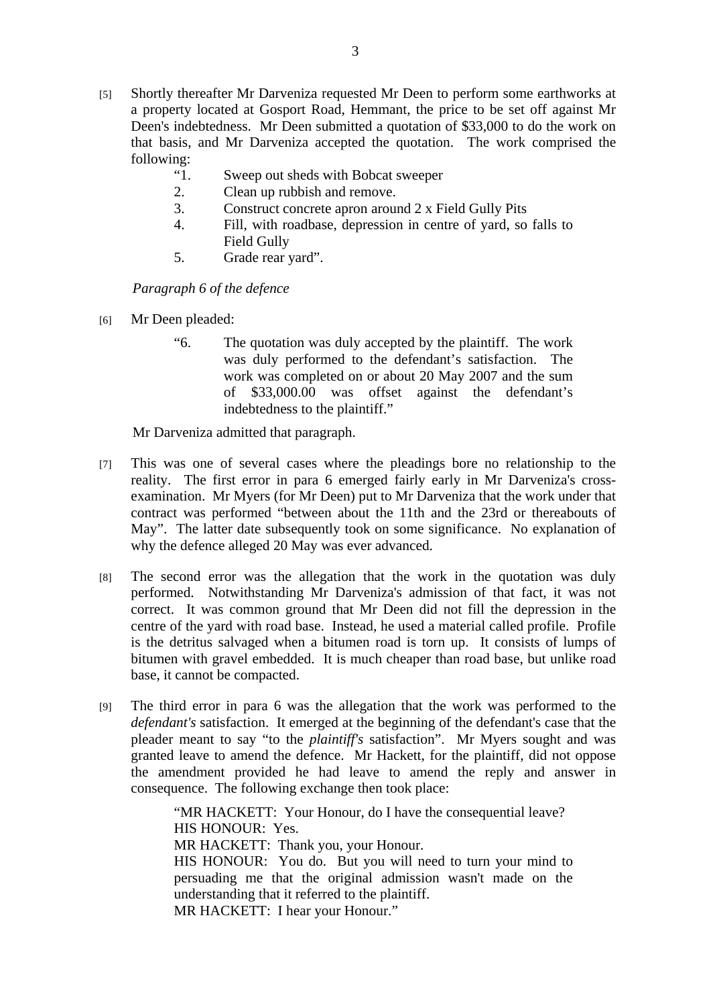- [5] Shortly thereafter Mr Darveniza requested Mr Deen to perform some earthworks at a property located at Gosport Road, Hemmant, the price to be set off against Mr Deen's indebtedness. Mr Deen submitted a quotation of \$33,000 to do the work on that basis, and Mr Darveniza accepted the quotation. The work comprised the following:
	- "1. Sweep out sheds with Bobcat sweeper
	- 2. Clean up rubbish and remove.
	- 3. Construct concrete apron around 2 x Field Gully Pits
	- 4. Fill, with roadbase, depression in centre of yard, so falls to Field Gully
	- 5. Grade rear yard".

*Paragraph 6 of the defence* 

- [6] Mr Deen pleaded:
	- "6. The quotation was duly accepted by the plaintiff. The work was duly performed to the defendant's satisfaction. The work was completed on or about 20 May 2007 and the sum of \$33,000.00 was offset against the defendant's indebtedness to the plaintiff."

Mr Darveniza admitted that paragraph.

- [7] This was one of several cases where the pleadings bore no relationship to the reality. The first error in para 6 emerged fairly early in Mr Darveniza's crossexamination. Mr Myers (for Mr Deen) put to Mr Darveniza that the work under that contract was performed "between about the 11th and the 23rd or thereabouts of May". The latter date subsequently took on some significance. No explanation of why the defence alleged 20 May was ever advanced.
- [8] The second error was the allegation that the work in the quotation was duly performed. Notwithstanding Mr Darveniza's admission of that fact, it was not correct. It was common ground that Mr Deen did not fill the depression in the centre of the yard with road base. Instead, he used a material called profile. Profile is the detritus salvaged when a bitumen road is torn up. It consists of lumps of bitumen with gravel embedded. It is much cheaper than road base, but unlike road base, it cannot be compacted.
- [9] The third error in para 6 was the allegation that the work was performed to the *defendant's* satisfaction. It emerged at the beginning of the defendant's case that the pleader meant to say "to the *plaintiff's* satisfaction". Mr Myers sought and was granted leave to amend the defence. Mr Hackett, for the plaintiff, did not oppose the amendment provided he had leave to amend the reply and answer in consequence. The following exchange then took place:

"MR HACKETT: Your Honour, do I have the consequential leave? HIS HONOUR: Yes. MR HACKETT: Thank you, your Honour. HIS HONOUR: You do. But you will need to turn your mind to persuading me that the original admission wasn't made on the understanding that it referred to the plaintiff. MR HACKETT: I hear your Honour."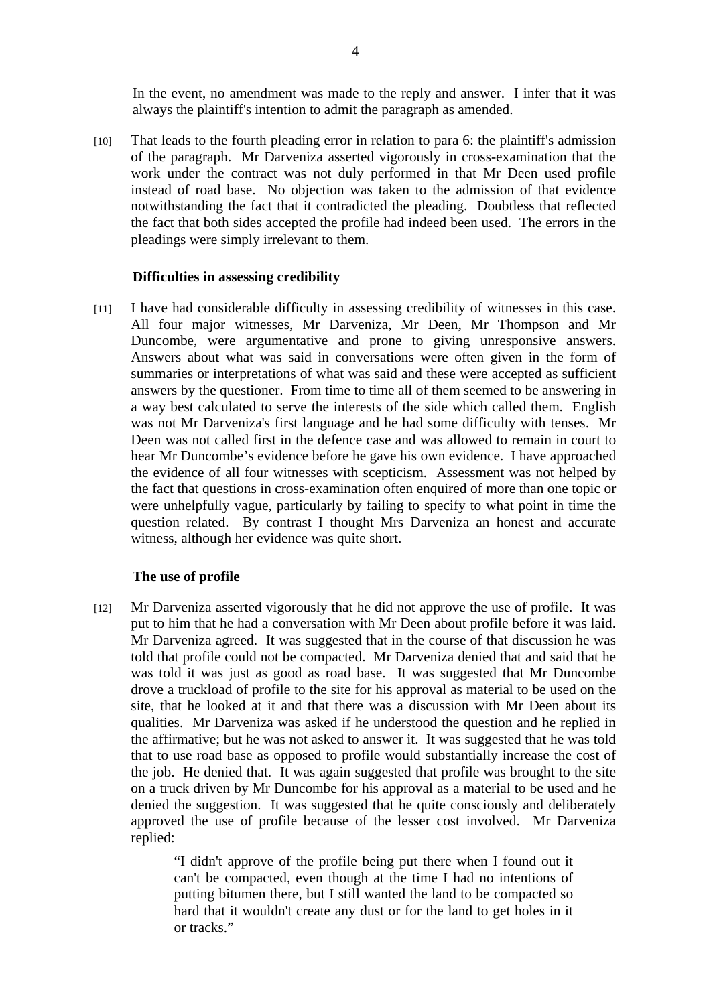In the event, no amendment was made to the reply and answer. I infer that it was always the plaintiff's intention to admit the paragraph as amended.

[10] That leads to the fourth pleading error in relation to para 6: the plaintiff's admission of the paragraph. Mr Darveniza asserted vigorously in cross-examination that the work under the contract was not duly performed in that Mr Deen used profile instead of road base. No objection was taken to the admission of that evidence notwithstanding the fact that it contradicted the pleading. Doubtless that reflected the fact that both sides accepted the profile had indeed been used. The errors in the pleadings were simply irrelevant to them.

#### **Difficulties in assessing credibility**

[11] I have had considerable difficulty in assessing credibility of witnesses in this case. All four major witnesses, Mr Darveniza, Mr Deen, Mr Thompson and Mr Duncombe, were argumentative and prone to giving unresponsive answers. Answers about what was said in conversations were often given in the form of summaries or interpretations of what was said and these were accepted as sufficient answers by the questioner. From time to time all of them seemed to be answering in a way best calculated to serve the interests of the side which called them. English was not Mr Darveniza's first language and he had some difficulty with tenses. Mr Deen was not called first in the defence case and was allowed to remain in court to hear Mr Duncombe's evidence before he gave his own evidence. I have approached the evidence of all four witnesses with scepticism. Assessment was not helped by the fact that questions in cross-examination often enquired of more than one topic or were unhelpfully vague, particularly by failing to specify to what point in time the question related. By contrast I thought Mrs Darveniza an honest and accurate witness, although her evidence was quite short.

# **The use of profile**

[12] Mr Darveniza asserted vigorously that he did not approve the use of profile. It was put to him that he had a conversation with Mr Deen about profile before it was laid. Mr Darveniza agreed. It was suggested that in the course of that discussion he was told that profile could not be compacted. Mr Darveniza denied that and said that he was told it was just as good as road base. It was suggested that Mr Duncombe drove a truckload of profile to the site for his approval as material to be used on the site, that he looked at it and that there was a discussion with Mr Deen about its qualities. Mr Darveniza was asked if he understood the question and he replied in the affirmative; but he was not asked to answer it. It was suggested that he was told that to use road base as opposed to profile would substantially increase the cost of the job. He denied that. It was again suggested that profile was brought to the site on a truck driven by Mr Duncombe for his approval as a material to be used and he denied the suggestion. It was suggested that he quite consciously and deliberately approved the use of profile because of the lesser cost involved. Mr Darveniza replied:

> "I didn't approve of the profile being put there when I found out it can't be compacted, even though at the time I had no intentions of putting bitumen there, but I still wanted the land to be compacted so hard that it wouldn't create any dust or for the land to get holes in it or tracks."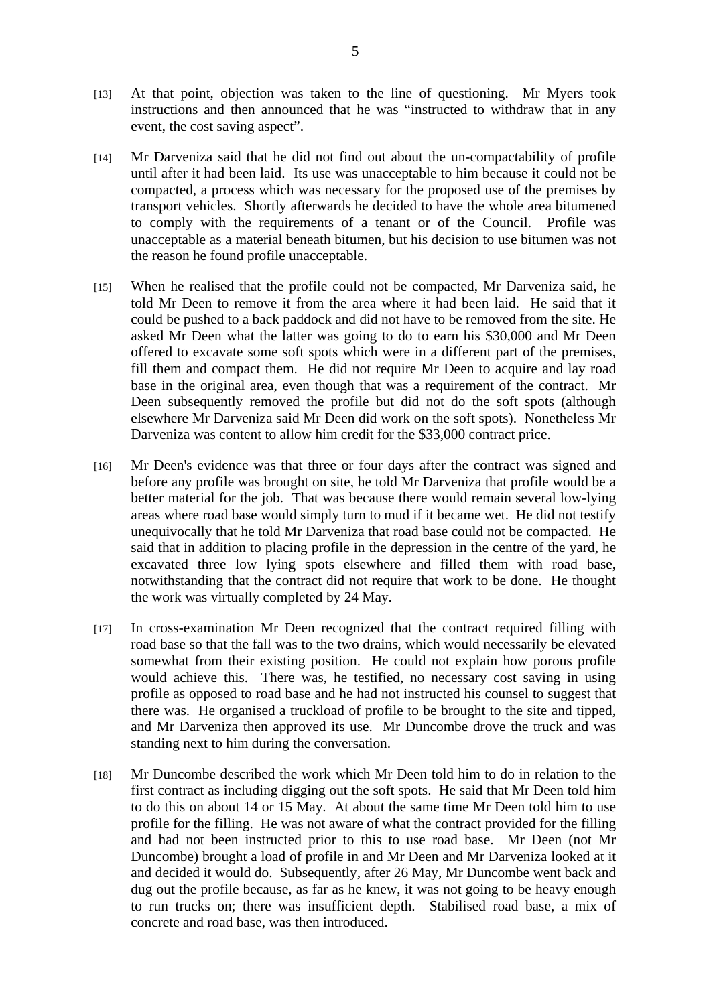- [13] At that point, objection was taken to the line of questioning. Mr Myers took instructions and then announced that he was "instructed to withdraw that in any event, the cost saving aspect".
- [14] Mr Darveniza said that he did not find out about the un-compactability of profile until after it had been laid. Its use was unacceptable to him because it could not be compacted, a process which was necessary for the proposed use of the premises by transport vehicles. Shortly afterwards he decided to have the whole area bitumened to comply with the requirements of a tenant or of the Council. Profile was unacceptable as a material beneath bitumen, but his decision to use bitumen was not the reason he found profile unacceptable.
- [15] When he realised that the profile could not be compacted, Mr Darveniza said, he told Mr Deen to remove it from the area where it had been laid. He said that it could be pushed to a back paddock and did not have to be removed from the site. He asked Mr Deen what the latter was going to do to earn his \$30,000 and Mr Deen offered to excavate some soft spots which were in a different part of the premises, fill them and compact them. He did not require Mr Deen to acquire and lay road base in the original area, even though that was a requirement of the contract. Mr Deen subsequently removed the profile but did not do the soft spots (although elsewhere Mr Darveniza said Mr Deen did work on the soft spots). Nonetheless Mr Darveniza was content to allow him credit for the \$33,000 contract price.
- [16] Mr Deen's evidence was that three or four days after the contract was signed and before any profile was brought on site, he told Mr Darveniza that profile would be a better material for the job. That was because there would remain several low-lying areas where road base would simply turn to mud if it became wet. He did not testify unequivocally that he told Mr Darveniza that road base could not be compacted. He said that in addition to placing profile in the depression in the centre of the yard, he excavated three low lying spots elsewhere and filled them with road base, notwithstanding that the contract did not require that work to be done. He thought the work was virtually completed by 24 May.
- [17] In cross-examination Mr Deen recognized that the contract required filling with road base so that the fall was to the two drains, which would necessarily be elevated somewhat from their existing position. He could not explain how porous profile would achieve this. There was, he testified, no necessary cost saving in using profile as opposed to road base and he had not instructed his counsel to suggest that there was. He organised a truckload of profile to be brought to the site and tipped, and Mr Darveniza then approved its use. Mr Duncombe drove the truck and was standing next to him during the conversation.
- [18] Mr Duncombe described the work which Mr Deen told him to do in relation to the first contract as including digging out the soft spots. He said that Mr Deen told him to do this on about 14 or 15 May. At about the same time Mr Deen told him to use profile for the filling. He was not aware of what the contract provided for the filling and had not been instructed prior to this to use road base. Mr Deen (not Mr Duncombe) brought a load of profile in and Mr Deen and Mr Darveniza looked at it and decided it would do. Subsequently, after 26 May, Mr Duncombe went back and dug out the profile because, as far as he knew, it was not going to be heavy enough to run trucks on; there was insufficient depth. Stabilised road base, a mix of concrete and road base, was then introduced.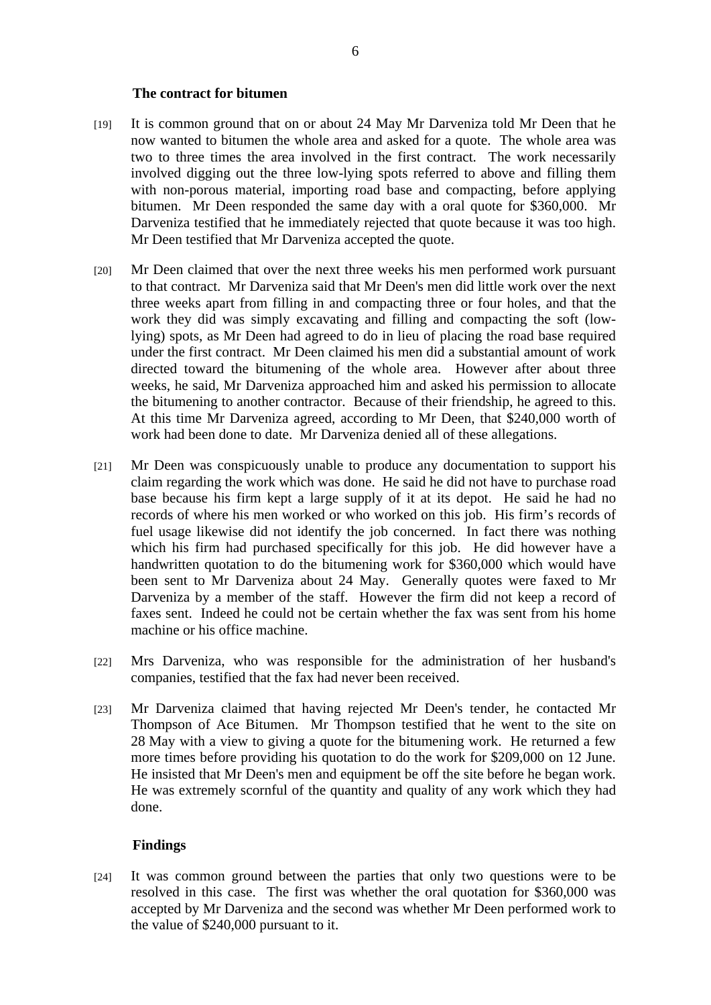#### **The contract for bitumen**

- [19] It is common ground that on or about 24 May Mr Darveniza told Mr Deen that he now wanted to bitumen the whole area and asked for a quote. The whole area was two to three times the area involved in the first contract. The work necessarily involved digging out the three low-lying spots referred to above and filling them with non-porous material, importing road base and compacting, before applying bitumen. Mr Deen responded the same day with a oral quote for \$360,000. Mr Darveniza testified that he immediately rejected that quote because it was too high. Mr Deen testified that Mr Darveniza accepted the quote.
- [20] Mr Deen claimed that over the next three weeks his men performed work pursuant to that contract. Mr Darveniza said that Mr Deen's men did little work over the next three weeks apart from filling in and compacting three or four holes, and that the work they did was simply excavating and filling and compacting the soft (lowlying) spots, as Mr Deen had agreed to do in lieu of placing the road base required under the first contract. Mr Deen claimed his men did a substantial amount of work directed toward the bitumening of the whole area. However after about three weeks, he said, Mr Darveniza approached him and asked his permission to allocate the bitumening to another contractor. Because of their friendship, he agreed to this. At this time Mr Darveniza agreed, according to Mr Deen, that \$240,000 worth of work had been done to date. Mr Darveniza denied all of these allegations.
- [21] Mr Deen was conspicuously unable to produce any documentation to support his claim regarding the work which was done. He said he did not have to purchase road base because his firm kept a large supply of it at its depot. He said he had no records of where his men worked or who worked on this job. His firm's records of fuel usage likewise did not identify the job concerned. In fact there was nothing which his firm had purchased specifically for this job. He did however have a handwritten quotation to do the bitumening work for \$360,000 which would have been sent to Mr Darveniza about 24 May. Generally quotes were faxed to Mr Darveniza by a member of the staff. However the firm did not keep a record of faxes sent. Indeed he could not be certain whether the fax was sent from his home machine or his office machine.
- [22] Mrs Darveniza, who was responsible for the administration of her husband's companies, testified that the fax had never been received.
- [23] Mr Darveniza claimed that having rejected Mr Deen's tender, he contacted Mr Thompson of Ace Bitumen. Mr Thompson testified that he went to the site on 28 May with a view to giving a quote for the bitumening work. He returned a few more times before providing his quotation to do the work for \$209,000 on 12 June. He insisted that Mr Deen's men and equipment be off the site before he began work. He was extremely scornful of the quantity and quality of any work which they had done.

#### **Findings**

[24] It was common ground between the parties that only two questions were to be resolved in this case. The first was whether the oral quotation for \$360,000 was accepted by Mr Darveniza and the second was whether Mr Deen performed work to the value of \$240,000 pursuant to it.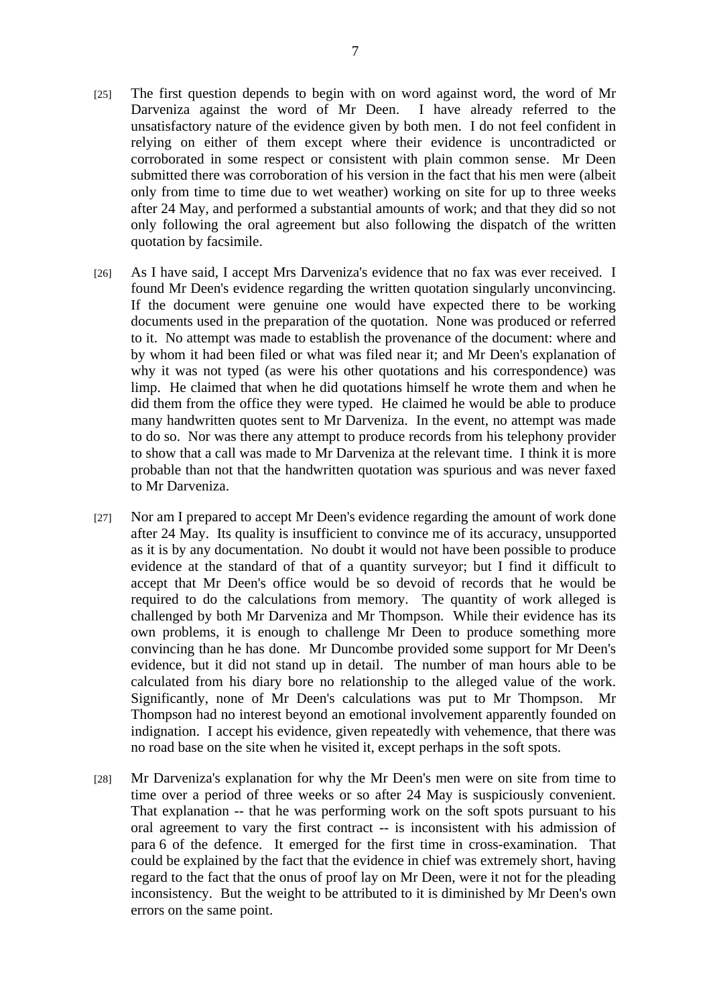- [25] The first question depends to begin with on word against word, the word of Mr Darveniza against the word of Mr Deen. I have already referred to the unsatisfactory nature of the evidence given by both men. I do not feel confident in relying on either of them except where their evidence is uncontradicted or corroborated in some respect or consistent with plain common sense. Mr Deen submitted there was corroboration of his version in the fact that his men were (albeit only from time to time due to wet weather) working on site for up to three weeks after 24 May, and performed a substantial amounts of work; and that they did so not only following the oral agreement but also following the dispatch of the written quotation by facsimile.
- [26] As I have said, I accept Mrs Darveniza's evidence that no fax was ever received. I found Mr Deen's evidence regarding the written quotation singularly unconvincing. If the document were genuine one would have expected there to be working documents used in the preparation of the quotation. None was produced or referred to it. No attempt was made to establish the provenance of the document: where and by whom it had been filed or what was filed near it; and Mr Deen's explanation of why it was not typed (as were his other quotations and his correspondence) was limp. He claimed that when he did quotations himself he wrote them and when he did them from the office they were typed. He claimed he would be able to produce many handwritten quotes sent to Mr Darveniza. In the event, no attempt was made to do so. Nor was there any attempt to produce records from his telephony provider to show that a call was made to Mr Darveniza at the relevant time. I think it is more probable than not that the handwritten quotation was spurious and was never faxed to Mr Darveniza.
- [27] Nor am I prepared to accept Mr Deen's evidence regarding the amount of work done after 24 May. Its quality is insufficient to convince me of its accuracy, unsupported as it is by any documentation. No doubt it would not have been possible to produce evidence at the standard of that of a quantity surveyor; but I find it difficult to accept that Mr Deen's office would be so devoid of records that he would be required to do the calculations from memory. The quantity of work alleged is challenged by both Mr Darveniza and Mr Thompson. While their evidence has its own problems, it is enough to challenge Mr Deen to produce something more convincing than he has done. Mr Duncombe provided some support for Mr Deen's evidence, but it did not stand up in detail. The number of man hours able to be calculated from his diary bore no relationship to the alleged value of the work. Significantly, none of Mr Deen's calculations was put to Mr Thompson. Mr Thompson had no interest beyond an emotional involvement apparently founded on indignation. I accept his evidence, given repeatedly with vehemence, that there was no road base on the site when he visited it, except perhaps in the soft spots.
- [28] Mr Darveniza's explanation for why the Mr Deen's men were on site from time to time over a period of three weeks or so after 24 May is suspiciously convenient. That explanation -- that he was performing work on the soft spots pursuant to his oral agreement to vary the first contract -- is inconsistent with his admission of para 6 of the defence. It emerged for the first time in cross-examination. That could be explained by the fact that the evidence in chief was extremely short, having regard to the fact that the onus of proof lay on Mr Deen, were it not for the pleading inconsistency. But the weight to be attributed to it is diminished by Mr Deen's own errors on the same point.